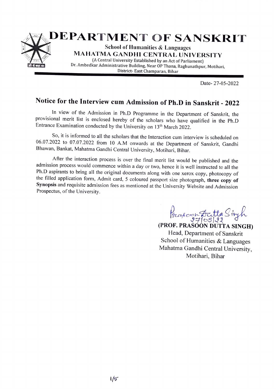

Date-27-05-2022

## Notice for the Interview cum Admission of Ph.D in Sanskrit - 2022

In view of the Admission in Ph.D Programme in the Department of Sanskrit, the provisional merit list is enclosed hereby of the scholars who have qualified in the Ph.D Entrance Examination conducted by the University on 13<sup>th</sup> March 2022.

So, it is informed to all the scholars that the Interaction cum interview is scheduled on 06.07.2022 to 07.07.2022 from 10 A.M onwards at the Department of Sanskrit, Gandhi Bhawan, Bankat, Mahatma Gandhi Central University, Motihari, Bihar.

After the interaction process is over the final merit list would be published and the admission process would commence within a day or two, hence it is well instructed to all the Ph.D aspirants to bring all the original documents along with one xerox copy, photocopy of the filled application form, Admit card, 5 coloured passport size photograph, three copy of Synopsis and requisite admission fees as mentioned at the University Website and Admission Prospectus, of the University.

Prasoon Acitta Singh

(PROF. PRASOON DUTTA SINGH) Head, Department of Sanskrit School of Humanities & Languages Mahatma Gandhi Central University, Motihari, Bihar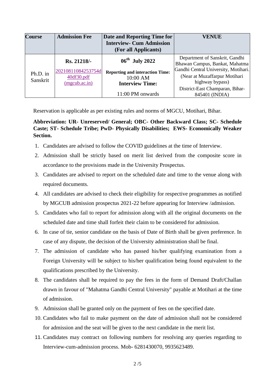| <b>Course</b>        | <b>Admission Fee</b>                                                      | Date and Reporting Time for<br><b>Interview- Cum Admission</b><br>(For all Applicants)                     | <b>VENUE</b>                                                                                                                                                                                    |
|----------------------|---------------------------------------------------------------------------|------------------------------------------------------------------------------------------------------------|-------------------------------------------------------------------------------------------------------------------------------------------------------------------------------------------------|
| Ph.D. in<br>Sanskrit | Rs. 21218/-<br>20210811084253754d<br>40df30.pdf<br>$(m\text{goub.ac.in})$ | $06^{\text{th}}$ July 2022<br><b>Reporting and interaction Time:</b><br>10:00 AM<br><b>Interview Time:</b> | Department of Sanskrit, Gandhi<br>Bhawan Campus, Bankat, Mahatma<br>Gandhi Central University, Motihari.<br>(Near at Muzaffarpur Motihari<br>highway bypass)<br>District-East Champaran, Bihar- |
|                      |                                                                           | 11:00 PM onwards                                                                                           | 845401 (INDIA)                                                                                                                                                                                  |

Reservation is applicable as per existing rules and norms of MGCU, Motihari, Bihar.

## **Abbreviation: UR- Unreserved/ General; OBC- Other Backward Class; SC- Schedule Caste; ST- Schedule Tribe; PwD- Physically Disabilities; EWS- Economically Weaker Section.**

- 1. Candidates are advised to follow the COVID guidelines at the time of Interview.
- 2. Admission shall be strictly based on merit list derived from the composite score in accordance to the provisions made in the University Prospectus.
- 3. Candidates are advised to report on the scheduled date and time to the venue along with required documents.
- 4. All candidates are advised to check their eligibility for respective programmes as notified by MGCUB admission prospectus 2021-22 before appearing for Interview /admission.
- 5. Candidates who fail to report for admission along with all the original documents on the scheduled date and time shall forfeit their claim to be considered for admission.
- 6. In case of tie, senior candidate on the basis of Date of Birth shall be given preference. In case of any dispute, the decision of the University administration shall be final.
- 7. The admission of candidate who has passed his/her qualifying examination from a Foreign University will be subject to his/her qualification being found equivalent to the qualifications prescribed by the University.
- 8. The candidates shall be required to pay the fees in the form of Demand Draft/Challan drawn in favour of "Mahatma Gandhi Central University" payable at Motihari at the time of admission.
- 9. Admission shall be granted only on the payment of fees on the specified date.
- 10. Candidates who fail to make payment on the date of admission shall not be considered for admission and the seat will be given to the next candidate in the merit list.
- 11. Candidates may contract on following numbers for resolving any queries regarding to Interview-cum-admission process. Mob- 6281430070, 9935623489.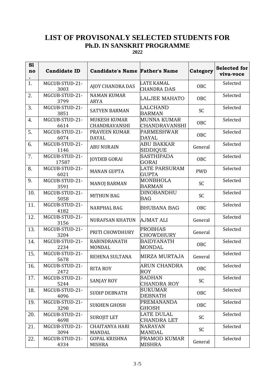## **LIST OF PROVISONALY SELECTED STUDENTS FOR Ph.D. IN SANSKRIT PROGRAMME**

**2022**

| S1<br>no         | <b>Candidate ID</b>     | <b>Candidate's Name Father's Name</b>  |                                            | Category   | <b>Selected for</b><br>viva-voce |
|------------------|-------------------------|----------------------------------------|--------------------------------------------|------------|----------------------------------|
| 1.               | MGCUB-STUD-21-<br>3003  | <b>AJOY CHANDRA DAS</b>                | <b>LATE KAMAL</b><br><b>CHANDRA DAS</b>    | OBC        | Selected                         |
| 2.               | MGCUB-STUD-21-<br>3799  | <b>NAMAN KUMAR</b><br><b>ARYA</b>      | LALJEE MAHATO                              | OBC        | Selected                         |
| 3.               | MGCUB-STUD-21-<br>3851  | <b>SATYEN BARMAN</b>                   | <b>LALCHAND</b><br><b>BARMAN</b>           | <b>SC</b>  | Selected                         |
| $\overline{4}$ . | MGCUB-STUD-21-<br>6614  | <b>MUKESH KUMAR</b><br>CHANDRAVANSHI   | <b>MUNNA KUMAR</b><br><b>CHANDRAVANSHI</b> | <b>OBC</b> | Selected                         |
| 5.               | MGCUB-STUD-21-<br>6074  | PRAVEEN KUMAR<br><b>DAYAL</b>          | <b>PARMESHWAR</b><br><b>DAYAL</b>          | OBC        | Selected                         |
| 6.               | MGCUB-STUD-21-<br>1146  | <b>ABU NURAIN</b>                      | <b>ABU BAKKAR</b><br><b>SIDDIQUE</b>       | General    | Selected                         |
| 7.               | MGCUB-STUD-21-<br>17587 | <b>JOYDEB GORAI</b>                    | <b>SASTHIPADA</b><br><b>GORAI</b>          | <b>OBC</b> | Selected                         |
| 8.               | MGCUB-STUD-21-<br>6021  | <b>MANAN GUPTA</b>                     | LATE PARSURAM<br><b>GUPTA</b>              | <b>PWD</b> | Selected                         |
| 9.               | MGCUB-STUD-21-<br>3591  | <b>MANOJ BARMAN</b>                    | <b>MONBHOLA</b><br><b>BARMAN</b>           | SC         | Selected                         |
| 10.              | MGCUB-STUD-21-<br>5058  | <b>MITHUN BAG</b>                      | DINOBANDHU<br><b>BAG</b>                   | SC         | Selected                         |
| 11.              | MGCUB-STUD-21-<br>4182  | <b>NARPHAL BAG</b>                     | <b>BHUBANA BAG</b>                         | <b>OBC</b> | Selected                         |
| 12.              | MGCUB-STUD-21-<br>3156  | <b>NURAFSAN KHATUN</b>                 | <b>AJMAT ALI</b>                           | General    | Selected                         |
| 13.              | MGCUB-STUD-21-<br>3204  | PRITI CHOWDHURY                        | <b>PROBHAS</b><br><b>CHOWDHURY</b>         | General    | Selected                         |
| 14.              | MGCUB-STUD-21-<br>2234  | <b>RABINDRANATH</b><br><b>MONDAL</b>   | <b>BAIDYANATH</b><br><b>MONDAL</b>         | OBC        | Selected                         |
| 15.              | MGCUB-STUD-21-<br>5678  | REHENA SULTANA                         | <b>MIRZA MURTAJA</b>                       | General    | Selected                         |
| 16.              | MGCUB-STUD-21-<br>2472  | RITA ROY                               | <b>ARUN CHANDRA</b><br><b>ROY</b>          | OBC        | Selected                         |
| 17.              | MGCUB-STUD-21-<br>5244  | SANJAY ROY                             | <b>SADHAN</b><br>CHANDRA ROY               | SC         | Selected                         |
| 18.              | MGCUB-STUD-21-<br>4096  | <b>SUDIP DEBNATH</b>                   | <b>SUKUMAR</b><br><b>DEBNATH</b>           | OBC        | Selected                         |
| 19.              | MGCUB-STUD-21-<br>3298  | <b>SUKHEN GHOSH</b>                    | <b>PREMANANDA</b><br><b>GHOSH</b>          | OBC        | Selected                         |
| 20.              | MGCUB-STUD-21-<br>4698  | <b>SUROJIT LET</b>                     | <b>LATE DULAL</b><br>CHANDRA LET           | SC         | Selected                         |
| 21.              | MGCUB-STUD-21-<br>3094  | <b>CHAITANYA HARI</b><br><b>MANDAL</b> | <b>NARAYAN</b><br><b>MANDAL</b>            | SC         | Selected                         |
| 22.              | MGCUB-STUD-21-<br>4334  | <b>GOPAL KRISHNA</b><br><b>MISHRA</b>  | PRAMOD KUMAR<br><b>MISHRA</b>              | General    | Selected                         |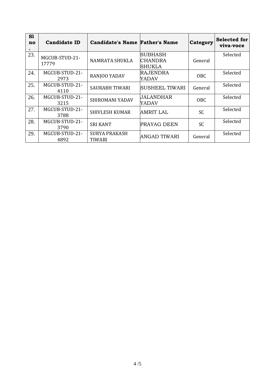| S1<br>no | <b>Candidate ID</b>     | <b>Candidate's Name Father's Name</b> |                                      | Category   | Selected for<br>viva-voce |
|----------|-------------------------|---------------------------------------|--------------------------------------|------------|---------------------------|
| 23.      | MGCUB-STUD-21-<br>17779 | NAMRATA SHUKLA                        | SUBHASH<br>ICHANDRA<br><b>SHUKLA</b> | General    | Selected                  |
| 24.      | MGCUB-STUD-21-<br>2973  | RANJOO YADAV                          | <b>RAJENDRA</b><br>YADAV             | <b>OBC</b> | Selected                  |
| 25.      | MGCUB-STUD-21-<br>4110  | <b>SAURABH TIWARI</b>                 | SUSHEEL TIWARI                       | General    | Selected                  |
| 26.      | MGCUB-STUD-21-<br>3215  | SHIROMANI YADAV                       | <b>JALANDHAR</b><br>YADAV            | OBC.       | Selected                  |
| 27.      | MGCUB-STUD-21-<br>3788  | <b>SHIVLESH KUMAR</b>                 | AMRIT LAL                            | <b>SC</b>  | Selected                  |
| 28.      | MGCUB-STUD-21-<br>3790  | <b>SRI KANT</b>                       | PRAYAG DEEN                          | <b>SC</b>  | Selected                  |
| 29.      | MGCUB-STUD-21-<br>4892  | <b>SURYA PRAKASH</b><br>TIWARI        | IANGAD TIWARI                        | General    | Selected                  |